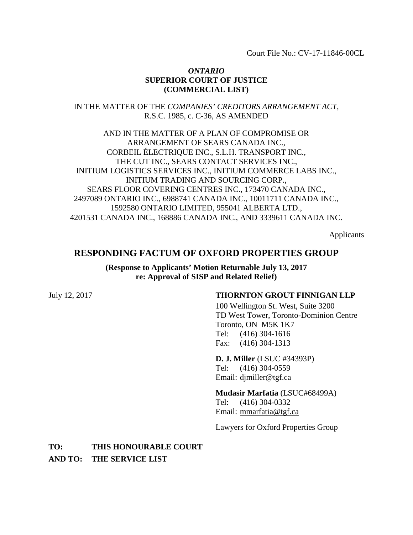Court File No.: CV-17-11846-00CL

## *ONTARIO* **SUPERIOR COURT OF JUSTICE (COMMERCIAL LIST)**

IN THE MATTER OF THE *COMPANIES' CREDITORS ARRANGEMENT ACT*, R.S.C. 1985, c. C-36, AS AMENDED

AND IN THE MATTER OF A PLAN OF COMPROMISE OR ARRANGEMENT OF SEARS CANADA INC., CORBEIL ÉLECTRIQUE INC., S.L.H. TRANSPORT INC., THE CUT INC., SEARS CONTACT SERVICES INC., INITIUM LOGISTICS SERVICES INC., INITIUM COMMERCE LABS INC., INITIUM TRADING AND SOURCING CORP., SEARS FLOOR COVERING CENTRES INC., 173470 CANADA INC., 2497089 ONTARIO INC., 6988741 CANADA INC., 10011711 CANADA INC., 1592580 ONTARIO LIMITED, 955041 ALBERTA LTD., 4201531 CANADA INC., 168886 CANADA INC., AND 3339611 CANADA INC.

Applicants

# **RESPONDING FACTUM OF OXFORD PROPERTIES GROUP**

**(Response to Applicants' Motion Returnable July 13, 2017 re: Approval of SISP and Related Relief)**

## July 12, 2017 **THORNTON GROUT FINNIGAN LLP**

100 Wellington St. West, Suite 3200 TD West Tower, Toronto-Dominion Centre Toronto, ON M5K 1K7 Tel: (416) 304-1616 Fax: (416) 304-1313

**D. J. Miller** (LSUC #34393P) Tel: (416) 304-0559 Email: [djmiller@tgf.ca](mailto:djmiller@tgf.ca)

**Mudasir Marfatia** (LSUC#68499A)

Tel: (416) 304-0332 Email: [mmarfatia@tgf.ca](mailto:mmarfatia@tgf.ca)

Lawyers for Oxford Properties Group

**TO: THIS HONOURABLE COURT AND TO: THE SERVICE LIST**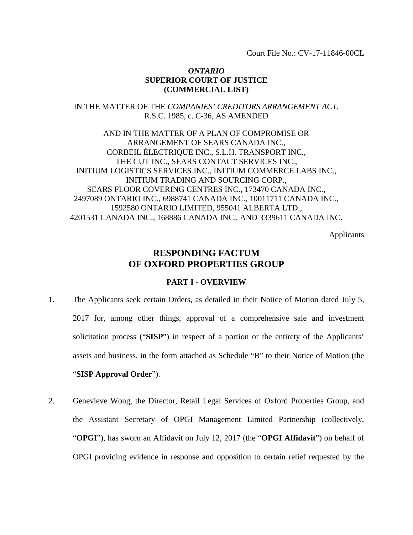Court File No.: CV-17-11846-00CL

## *ONTARIO* **SUPERIOR COURT OF JUSTICE (COMMERCIAL LIST)**

IN THE MATTER OF THE *COMPANIES' CREDITORS ARRANGEMENT ACT*, R.S.C. 1985, c. C-36, AS AMENDED

AND IN THE MATTER OF A PLAN OF COMPROMISE OR ARRANGEMENT OF SEARS CANADA INC., CORBEIL ÉLECTRIQUE INC., S.L.H. TRANSPORT INC., THE CUT INC., SEARS CONTACT SERVICES INC., INITIUM LOGISTICS SERVICES INC., INITIUM COMMERCE LABS INC., INITIUM TRADING AND SOURCING CORP., SEARS FLOOR COVERING CENTRES INC., 173470 CANADA INC., 2497089 ONTARIO INC., 6988741 CANADA INC., 10011711 CANADA INC., 1592580 ONTARIO LIMITED, 955041 ALBERTA LTD., 4201531 CANADA INC., 168886 CANADA INC., AND 3339611 CANADA INC.

Applicants

# **RESPONDING FACTUM OF OXFORD PROPERTIES GROUP**

## **PART I - OVERVIEW**

- 1. The Applicants seek certain Orders, as detailed in their Notice of Motion dated July 5, 2017 for, among other things, approval of a comprehensive sale and investment solicitation process ("**SISP**") in respect of a portion or the entirety of the Applicants' assets and business, in the form attached as Schedule "B" to their Notice of Motion (the "**SISP Approval Order**").
- 2. Genevieve Wong, the Director, Retail Legal Services of Oxford Properties Group, and the Assistant Secretary of OPGI Management Limited Partnership (collectively, "**OPGI**"), has sworn an Affidavit on July 12, 2017 (the "**OPGI Affidavit**") on behalf of OPGI providing evidence in response and opposition to certain relief requested by the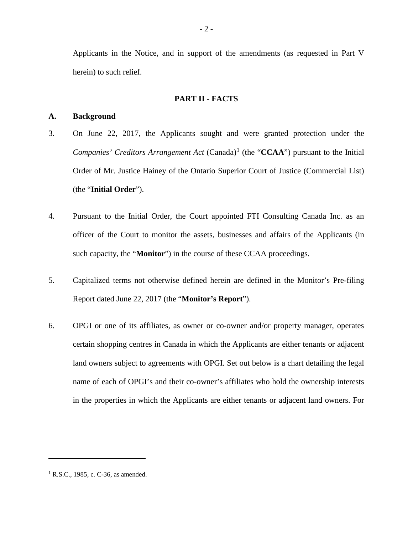Applicants in the Notice, and in support of the amendments (as requested in Part V herein) to such relief.

#### **PART II - FACTS**

## **A. Background**

- 3. On June 22, 2017, the Applicants sought and were granted protection under the *Companies' Creditors Arrangement Act* (Canada)<sup>[1](#page-2-0)</sup> (the "**CCAA**") pursuant to the Initial Order of Mr. Justice Hainey of the Ontario Superior Court of Justice (Commercial List) (the "**Initial Order**").
- 4. Pursuant to the Initial Order, the Court appointed FTI Consulting Canada Inc. as an officer of the Court to monitor the assets, businesses and affairs of the Applicants (in such capacity, the "**Monitor**") in the course of these CCAA proceedings.
- 5. Capitalized terms not otherwise defined herein are defined in the Monitor's Pre-filing Report dated June 22, 2017 (the "**Monitor's Report**").
- 6. OPGI or one of its affiliates, as owner or co-owner and/or property manager, operates certain shopping centres in Canada in which the Applicants are either tenants or adjacent land owners subject to agreements with OPGI. Set out below is a chart detailing the legal name of each of OPGI's and their co-owner's affiliates who hold the ownership interests in the properties in which the Applicants are either tenants or adjacent land owners. For

<span id="page-2-0"></span><sup>&</sup>lt;sup>1</sup> R.S.C., 1985, c. C-36, as amended.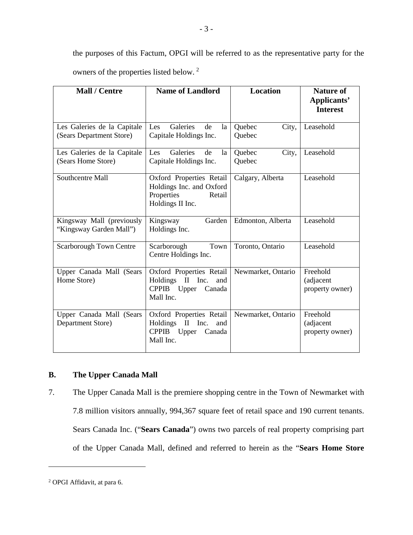the purposes of this Factum, OPGI will be referred to as the representative party for the owners of the properties listed below. [2](#page-3-0)

| <b>Mall / Centre</b>                                    | <b>Name of Landlord</b>                                                                                             | Location                  | <b>Nature of</b><br>Applicants'<br><b>Interest</b> |
|---------------------------------------------------------|---------------------------------------------------------------------------------------------------------------------|---------------------------|----------------------------------------------------|
| Les Galeries de la Capitale<br>(Sears Department Store) | Galeries<br>de<br>Les<br>la<br>Capitale Holdings Inc.                                                               | City,<br>Quebec<br>Quebec | Leasehold                                          |
| Les Galeries de la Capitale<br>(Sears Home Store)       | Galeries<br>Les<br>de<br>la<br>Capitale Holdings Inc.                                                               | Quebec<br>City,<br>Quebec | Leasehold                                          |
| Southcentre Mall                                        | Oxford Properties Retail<br>Holdings Inc. and Oxford<br>Properties<br>Retail<br>Holdings II Inc.                    | Calgary, Alberta          | Leasehold                                          |
| Kingsway Mall (previously<br>"Kingsway Garden Mall")    | Garden<br>Kingsway<br>Holdings Inc.                                                                                 | Edmonton, Alberta         | Leasehold                                          |
| <b>Scarborough Town Centre</b>                          | Town<br>Scarborough<br>Centre Holdings Inc.                                                                         | Toronto, Ontario          | Leasehold                                          |
| Upper Canada Mall (Sears<br>Home Store)                 | Oxford Properties Retail<br>Holdings<br>$\mathbf{I}$<br>Inc.<br>and<br>CPPIB Upper<br>Canada<br>Mall Inc.           | Newmarket, Ontario        | Freehold<br>(adjacent<br>property owner)           |
| Upper Canada Mall (Sears<br>Department Store)           | Oxford Properties Retail<br>Holdings<br>$\mathbf{I}$<br>Inc.<br>and<br><b>CPPIB</b><br>Upper<br>Canada<br>Mall Inc. | Newmarket, Ontario        | Freehold<br>(adjacent<br>property owner)           |

# **B. The Upper Canada Mall**

7. The Upper Canada Mall is the premiere shopping centre in the Town of Newmarket with 7.8 million visitors annually, 994,367 square feet of retail space and 190 current tenants. Sears Canada Inc. ("**Sears Canada**") owns two parcels of real property comprising part of the Upper Canada Mall, defined and referred to herein as the "**Sears Home Store** 

<span id="page-3-0"></span><sup>2</sup> OPGI Affidavit, at para 6.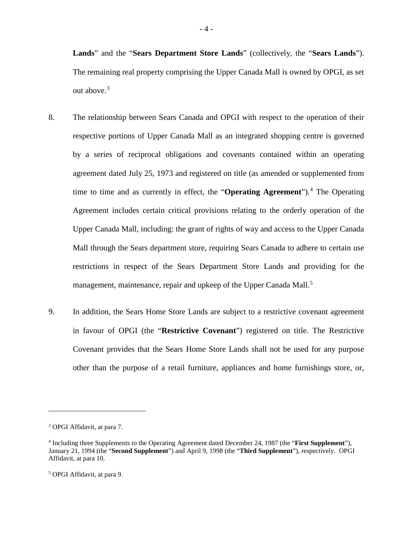**Lands**" and the "**Sears Department Store Lands**" (collectively, the "**Sears Lands**"). The remaining real property comprising the Upper Canada Mall is owned by OPGI, as set out above. [3](#page-4-0)

- 8. The relationship between Sears Canada and OPGI with respect to the operation of their respective portions of Upper Canada Mall as an integrated shopping centre is governed by a series of reciprocal obligations and covenants contained within an operating agreement dated July 25, 1973 and registered on title (as amended or supplemented from time to time and as currently in effect, the "**Operating Agreement**").<sup>[4](#page-4-1)</sup> The Operating Agreement includes certain critical provisions relating to the orderly operation of the Upper Canada Mall, including: the grant of rights of way and access to the Upper Canada Mall through the Sears department store, requiring Sears Canada to adhere to certain use restrictions in respect of the Sears Department Store Lands and providing for the management, maintenance, repair and upkeep of the Upper Canada Mall.<sup>[5](#page-4-2)</sup>
- 9. In addition, the Sears Home Store Lands are subject to a restrictive covenant agreement in favour of OPGI (the "**Restrictive Covenant**") registered on title. The Restrictive Covenant provides that the Sears Home Store Lands shall not be used for any purpose other than the purpose of a retail furniture, appliances and home furnishings store, or,

<span id="page-4-0"></span><sup>3</sup> OPGI Affidavit, at para 7.

<span id="page-4-1"></span><sup>4</sup> Including three Supplements to the Operating Agreement dated December 24, 1987 (the "**First Supplement**"), January 21, 1994 (the "**Second Supplement**") and April 9, 1998 (the "**Third Supplement**"), respectively. OPGI Affidavit, at para 10.

<span id="page-4-2"></span><sup>5</sup> OPGI Affidavit, at para 9.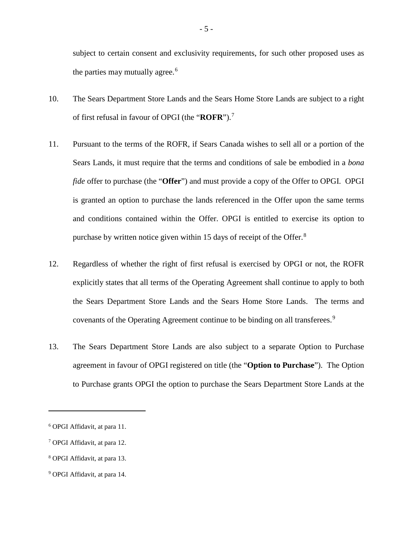subject to certain consent and exclusivity requirements, for such other proposed uses as the parties may mutually agree.<sup>[6](#page-5-0)</sup>

- 10. The Sears Department Store Lands and the Sears Home Store Lands are subject to a right of first refusal in favour of OPGI (the "**ROFR**"). [7](#page-5-1)
- 11. Pursuant to the terms of the ROFR, if Sears Canada wishes to sell all or a portion of the Sears Lands, it must require that the terms and conditions of sale be embodied in a *bona fide* offer to purchase (the "**Offer**") and must provide a copy of the Offer to OPGI. OPGI is granted an option to purchase the lands referenced in the Offer upon the same terms and conditions contained within the Offer. OPGI is entitled to exercise its option to purchase by written notice given within 15 days of receipt of the Offer.<sup>[8](#page-5-2)</sup>
- 12. Regardless of whether the right of first refusal is exercised by OPGI or not, the ROFR explicitly states that all terms of the Operating Agreement shall continue to apply to both the Sears Department Store Lands and the Sears Home Store Lands. The terms and covenants of the Operating Agreement continue to be binding on all transferees.<sup>[9](#page-5-3)</sup>
- 13. The Sears Department Store Lands are also subject to a separate Option to Purchase agreement in favour of OPGI registered on title (the "**Option to Purchase**"). The Option to Purchase grants OPGI the option to purchase the Sears Department Store Lands at the

<span id="page-5-0"></span><sup>6</sup> OPGI Affidavit, at para 11.

<span id="page-5-1"></span><sup>7</sup> OPGI Affidavit, at para 12.

<span id="page-5-2"></span><sup>8</sup> OPGI Affidavit, at para 13.

<span id="page-5-3"></span><sup>9</sup> OPGI Affidavit, at para 14.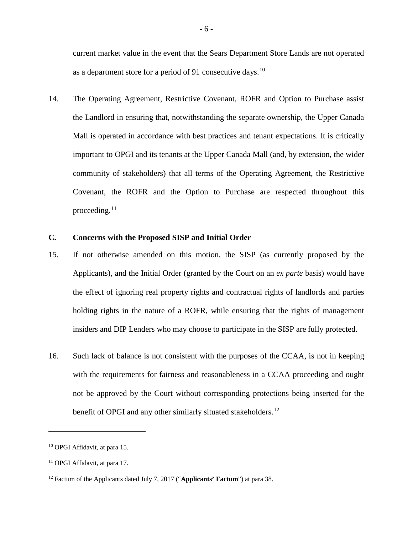current market value in the event that the Sears Department Store Lands are not operated as a department store for a period of 91 consecutive days.<sup>[10](#page-6-0)</sup>

14. The Operating Agreement, Restrictive Covenant, ROFR and Option to Purchase assist the Landlord in ensuring that, notwithstanding the separate ownership, the Upper Canada Mall is operated in accordance with best practices and tenant expectations. It is critically important to OPGI and its tenants at the Upper Canada Mall (and, by extension, the wider community of stakeholders) that all terms of the Operating Agreement, the Restrictive Covenant, the ROFR and the Option to Purchase are respected throughout this proceeding. $11$ 

## **C. Concerns with the Proposed SISP and Initial Order**

- 15. If not otherwise amended on this motion, the SISP (as currently proposed by the Applicants), and the Initial Order (granted by the Court on an *ex parte* basis) would have the effect of ignoring real property rights and contractual rights of landlords and parties holding rights in the nature of a ROFR, while ensuring that the rights of management insiders and DIP Lenders who may choose to participate in the SISP are fully protected.
- 16. Such lack of balance is not consistent with the purposes of the CCAA, is not in keeping with the requirements for fairness and reasonableness in a CCAA proceeding and ought not be approved by the Court without corresponding protections being inserted for the benefit of OPGI and any other similarly situated stakeholders.<sup>[12](#page-6-2)</sup>

<span id="page-6-0"></span><sup>10</sup> OPGI Affidavit, at para 15.

<span id="page-6-1"></span><sup>11</sup> OPGI Affidavit, at para 17.

<span id="page-6-2"></span><sup>12</sup> Factum of the Applicants dated July 7, 2017 ("**Applicants' Factum**") at para 38.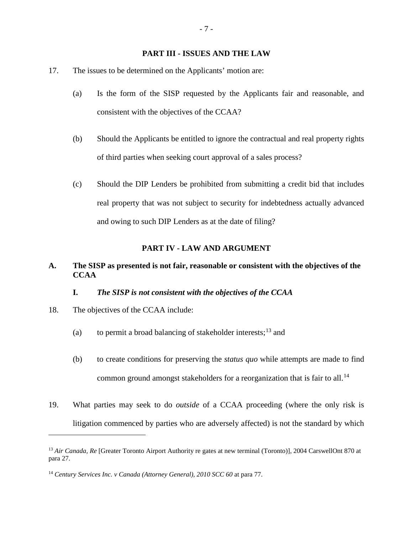## **PART III - ISSUES AND THE LAW**

- 17. The issues to be determined on the Applicants' motion are:
	- (a) Is the form of the SISP requested by the Applicants fair and reasonable, and consistent with the objectives of the CCAA?
	- (b) Should the Applicants be entitled to ignore the contractual and real property rights of third parties when seeking court approval of a sales process?
	- (c) Should the DIP Lenders be prohibited from submitting a credit bid that includes real property that was not subject to security for indebtedness actually advanced and owing to such DIP Lenders as at the date of filing?

#### **PART IV - LAW AND ARGUMENT**

## **A. The SISP as presented is not fair, reasonable or consistent with the objectives of the CCAA**

## **I.** *The SISP is not consistent with the objectives of the CCAA*

18. The objectives of the CCAA include:

- (a) to permit a broad balancing of stakeholder interests;<sup>[13](#page-7-0)</sup> and
- (b) to create conditions for preserving the *status quo* while attempts are made to find common ground amongst stakeholders for a reorganization that is fair to all.<sup>[14](#page-7-1)</sup>
- 19. What parties may seek to do *outside* of a CCAA proceeding (where the only risk is litigation commenced by parties who are adversely affected) is not the standard by which

<span id="page-7-0"></span><sup>&</sup>lt;sup>13</sup> Air Canada, Re [Greater Toronto Airport Authority re gates at new terminal (Toronto)], 2004 CarswellOnt 870 at para 27.

<span id="page-7-1"></span><sup>14</sup> *Century Services Inc. v Canada (Attorney General), 2010 SCC 60* at para 77.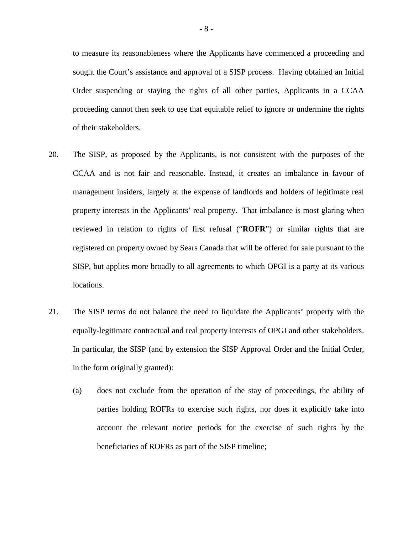to measure its reasonableness where the Applicants have commenced a proceeding and sought the Court's assistance and approval of a SISP process. Having obtained an Initial Order suspending or staying the rights of all other parties, Applicants in a CCAA proceeding cannot then seek to use that equitable relief to ignore or undermine the rights of their stakeholders.

- 20. The SISP, as proposed by the Applicants, is not consistent with the purposes of the CCAA and is not fair and reasonable. Instead, it creates an imbalance in favour of management insiders, largely at the expense of landlords and holders of legitimate real property interests in the Applicants' real property. That imbalance is most glaring when reviewed in relation to rights of first refusal ("**ROFR**") or similar rights that are registered on property owned by Sears Canada that will be offered for sale pursuant to the SISP, but applies more broadly to all agreements to which OPGI is a party at its various locations.
- 21. The SISP terms do not balance the need to liquidate the Applicants' property with the equally-legitimate contractual and real property interests of OPGI and other stakeholders. In particular, the SISP (and by extension the SISP Approval Order and the Initial Order, in the form originally granted):
	- (a) does not exclude from the operation of the stay of proceedings, the ability of parties holding ROFRs to exercise such rights, nor does it explicitly take into account the relevant notice periods for the exercise of such rights by the beneficiaries of ROFRs as part of the SISP timeline;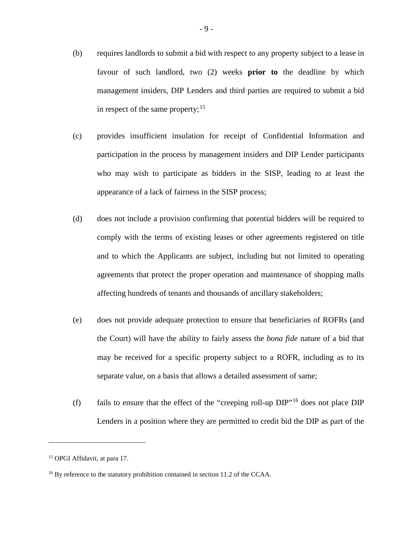- (b) requires landlords to submit a bid with respect to any property subject to a lease in favour of such landlord, two (2) weeks **prior to** the deadline by which management insiders, DIP Lenders and third parties are required to submit a bid in respect of the same property;<sup>[15](#page-9-0)</sup>
- (c) provides insufficient insulation for receipt of Confidential Information and participation in the process by management insiders and DIP Lender participants who may wish to participate as bidders in the SISP, leading to at least the appearance of a lack of fairness in the SISP process;
- (d) does not include a provision confirming that potential bidders will be required to comply with the terms of existing leases or other agreements registered on title and to which the Applicants are subject, including but not limited to operating agreements that protect the proper operation and maintenance of shopping malls affecting hundreds of tenants and thousands of ancillary stakeholders;
- (e) does not provide adequate protection to ensure that beneficiaries of ROFRs (and the Court) will have the ability to fairly assess the *bona fide* nature of a bid that may be received for a specific property subject to a ROFR, including as to its separate value, on a basis that allows a detailed assessment of same;
- (f) fails to ensure that the effect of the "creeping roll-up  $DIP$ "<sup>[16](#page-9-1)</sup> does not place  $DIP$ Lenders in a position where they are permitted to credit bid the DIP as part of the

<span id="page-9-0"></span><sup>15</sup> OPGI Affidavit, at para 17.

<span id="page-9-1"></span><sup>&</sup>lt;sup>16</sup> By reference to the statutory prohibition contained in section 11.2 of the CCAA.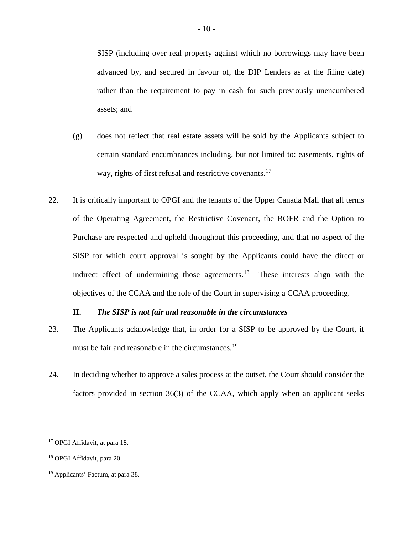SISP (including over real property against which no borrowings may have been advanced by, and secured in favour of, the DIP Lenders as at the filing date) rather than the requirement to pay in cash for such previously unencumbered assets; and

- (g) does not reflect that real estate assets will be sold by the Applicants subject to certain standard encumbrances including, but not limited to: easements, rights of way, rights of first refusal and restrictive covenants.<sup>[17](#page-10-0)</sup>
- 22. It is critically important to OPGI and the tenants of the Upper Canada Mall that all terms of the Operating Agreement, the Restrictive Covenant, the ROFR and the Option to Purchase are respected and upheld throughout this proceeding, and that no aspect of the SISP for which court approval is sought by the Applicants could have the direct or indirect effect of undermining those agreements.<sup>18</sup> These interests align with the objectives of the CCAA and the role of the Court in supervising a CCAA proceeding.

## **II.** *The SISP is not fair and reasonable in the circumstances*

- 23. The Applicants acknowledge that, in order for a SISP to be approved by the Court, it must be fair and reasonable in the circumstances.<sup>[19](#page-10-2)</sup>
- 24. In deciding whether to approve a sales process at the outset, the Court should consider the factors provided in section 36(3) of the CCAA, which apply when an applicant seeks

<span id="page-10-0"></span><sup>17</sup> OPGI Affidavit, at para 18.

<span id="page-10-1"></span><sup>18</sup> OPGI Affidavit, para 20.

<span id="page-10-2"></span><sup>19</sup> Applicants' Factum, at para 38.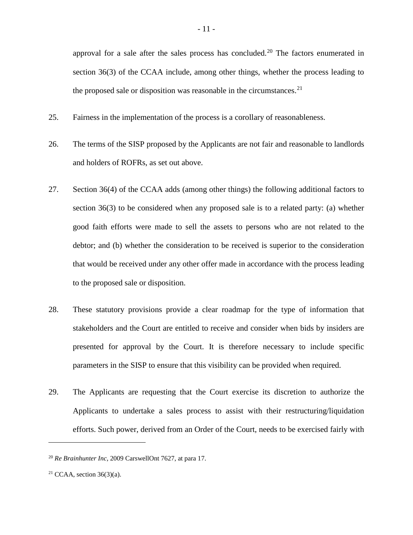approval for a sale after the sales process has concluded.[20](#page-11-0) The factors enumerated in section 36(3) of the CCAA include, among other things, whether the process leading to the proposed sale or disposition was reasonable in the circumstances.<sup>[21](#page-11-1)</sup>

- 25. Fairness in the implementation of the process is a corollary of reasonableness.
- 26. The terms of the SISP proposed by the Applicants are not fair and reasonable to landlords and holders of ROFRs, as set out above.
- 27. Section 36(4) of the CCAA adds (among other things) the following additional factors to section 36(3) to be considered when any proposed sale is to a related party: (a) whether good faith efforts were made to sell the assets to persons who are not related to the debtor; and (b) whether the consideration to be received is superior to the consideration that would be received under any other offer made in accordance with the process leading to the proposed sale or disposition.
- 28. These statutory provisions provide a clear roadmap for the type of information that stakeholders and the Court are entitled to receive and consider when bids by insiders are presented for approval by the Court. It is therefore necessary to include specific parameters in the SISP to ensure that this visibility can be provided when required.
- 29. The Applicants are requesting that the Court exercise its discretion to authorize the Applicants to undertake a sales process to assist with their restructuring/liquidation efforts. Such power, derived from an Order of the Court, needs to be exercised fairly with

<span id="page-11-0"></span><sup>20</sup> *Re Brainhunter Inc*, 2009 CarswellOnt 7627, at para 17.

<span id="page-11-1"></span><sup>&</sup>lt;sup>21</sup> CCAA, section  $36(3)(a)$ .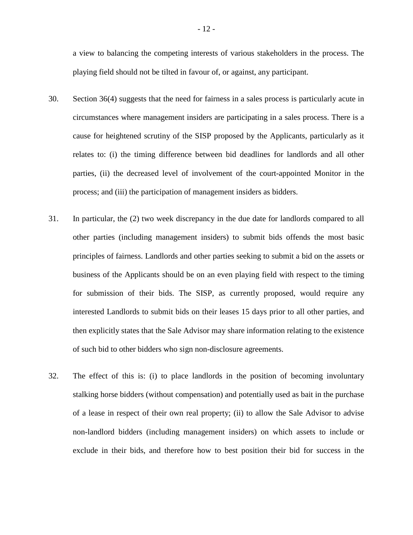a view to balancing the competing interests of various stakeholders in the process. The playing field should not be tilted in favour of, or against, any participant.

- 30. Section 36(4) suggests that the need for fairness in a sales process is particularly acute in circumstances where management insiders are participating in a sales process. There is a cause for heightened scrutiny of the SISP proposed by the Applicants, particularly as it relates to: (i) the timing difference between bid deadlines for landlords and all other parties, (ii) the decreased level of involvement of the court-appointed Monitor in the process; and (iii) the participation of management insiders as bidders.
- 31. In particular, the (2) two week discrepancy in the due date for landlords compared to all other parties (including management insiders) to submit bids offends the most basic principles of fairness. Landlords and other parties seeking to submit a bid on the assets or business of the Applicants should be on an even playing field with respect to the timing for submission of their bids. The SISP, as currently proposed, would require any interested Landlords to submit bids on their leases 15 days prior to all other parties, and then explicitly states that the Sale Advisor may share information relating to the existence of such bid to other bidders who sign non-disclosure agreements.
- 32. The effect of this is: (i) to place landlords in the position of becoming involuntary stalking horse bidders (without compensation) and potentially used as bait in the purchase of a lease in respect of their own real property; (ii) to allow the Sale Advisor to advise non-landlord bidders (including management insiders) on which assets to include or exclude in their bids, and therefore how to best position their bid for success in the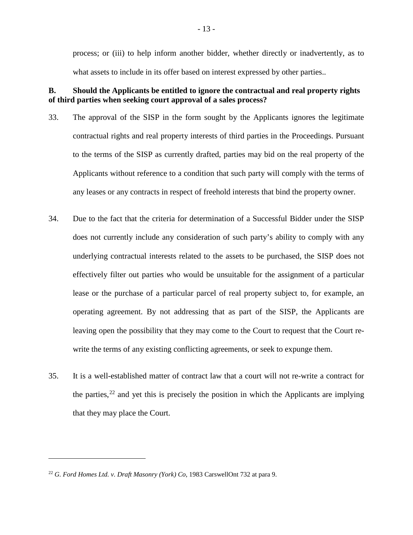process; or (iii) to help inform another bidder, whether directly or inadvertently, as to what assets to include in its offer based on interest expressed by other parties..

# **B. Should the Applicants be entitled to ignore the contractual and real property rights of third parties when seeking court approval of a sales process?**

- 33. The approval of the SISP in the form sought by the Applicants ignores the legitimate contractual rights and real property interests of third parties in the Proceedings. Pursuant to the terms of the SISP as currently drafted, parties may bid on the real property of the Applicants without reference to a condition that such party will comply with the terms of any leases or any contracts in respect of freehold interests that bind the property owner.
- 34. Due to the fact that the criteria for determination of a Successful Bidder under the SISP does not currently include any consideration of such party's ability to comply with any underlying contractual interests related to the assets to be purchased, the SISP does not effectively filter out parties who would be unsuitable for the assignment of a particular lease or the purchase of a particular parcel of real property subject to, for example, an operating agreement. By not addressing that as part of the SISP, the Applicants are leaving open the possibility that they may come to the Court to request that the Court rewrite the terms of any existing conflicting agreements, or seek to expunge them.
- 35. It is a well-established matter of contract law that a court will not re-write a contract for the parties,  $22$  and yet this is precisely the position in which the Applicants are implying that they may place the Court.

<span id="page-13-0"></span><sup>22</sup> *G. Ford Homes Ltd. v. Draft Masonry (York) Co*, 1983 CarswellOnt 732 at para 9.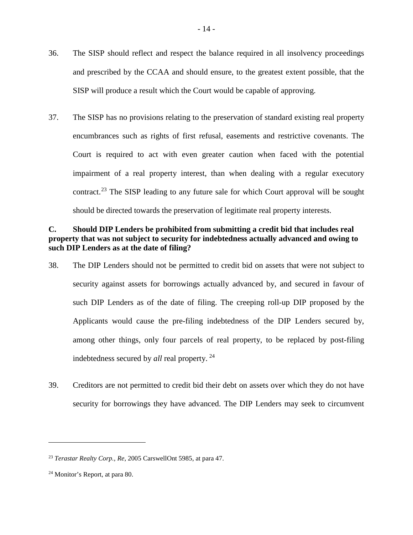- 36. The SISP should reflect and respect the balance required in all insolvency proceedings and prescribed by the CCAA and should ensure, to the greatest extent possible, that the SISP will produce a result which the Court would be capable of approving.
- 37. The SISP has no provisions relating to the preservation of standard existing real property encumbrances such as rights of first refusal, easements and restrictive covenants. The Court is required to act with even greater caution when faced with the potential impairment of a real property interest, than when dealing with a regular executory contract.<sup>[23](#page-14-0)</sup> The SISP leading to any future sale for which Court approval will be sought should be directed towards the preservation of legitimate real property interests.

# **C. Should DIP Lenders be prohibited from submitting a credit bid that includes real property that was not subject to security for indebtedness actually advanced and owing to such DIP Lenders as at the date of filing?**

- 38. The DIP Lenders should not be permitted to credit bid on assets that were not subject to security against assets for borrowings actually advanced by, and secured in favour of such DIP Lenders as of the date of filing. The creeping roll-up DIP proposed by the Applicants would cause the pre-filing indebtedness of the DIP Lenders secured by, among other things, only four parcels of real property, to be replaced by post-filing indebtedness secured by *all* real property. [24](#page-14-1)
- 39. Creditors are not permitted to credit bid their debt on assets over which they do not have security for borrowings they have advanced. The DIP Lenders may seek to circumvent

<span id="page-14-0"></span><sup>23</sup> *Terastar Realty Corp., Re*, 2005 CarswellOnt 5985, at para 47.

<span id="page-14-1"></span><sup>24</sup> Monitor's Report, at para 80.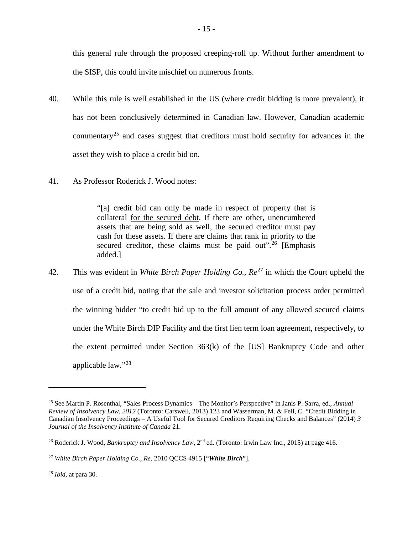this general rule through the proposed creeping-roll up. Without further amendment to the SISP, this could invite mischief on numerous fronts.

- 40. While this rule is well established in the US (where credit bidding is more prevalent), it has not been conclusively determined in Canadian law. However, Canadian academic commentary[25](#page-15-0) and cases suggest that creditors must hold security for advances in the asset they wish to place a credit bid on.
- 41. As Professor Roderick J. Wood notes:

"[a] credit bid can only be made in respect of property that is collateral for the secured debt. If there are other, unencumbered assets that are being sold as well, the secured creditor must pay cash for these assets. If there are claims that rank in priority to the secured creditor, these claims must be paid out".<sup>[26](#page-15-1)</sup> [Emphasis added.]

42. This was evident in *White Birch Paper Holding Co., Re*<sup>[27](#page-15-2)</sup> in which the Court upheld the use of a credit bid, noting that the sale and investor solicitation process order permitted the winning bidder "to credit bid up to the full amount of any allowed secured claims under the White Birch DIP Facility and the first lien term loan agreement, respectively, to the extent permitted under Section 363(k) of the [US] Bankruptcy Code and other applicable law."[28](#page-15-3)

<span id="page-15-0"></span><sup>25</sup> See Martin P. Rosenthal, "Sales Process Dynamics – The Monitor's Perspective" in Janis P. Sarra, ed., *Annual Review of Insolvency Law, 2012* (Toronto: Carswell, 2013) 123 and Wasserman, M. & Fell, C. "Credit Bidding in Canadian Insolvency Proceedings – A Useful Tool for Secured Creditors Requiring Checks and Balances" (2014) *3 Journal of the Insolvency Institute of Canada* 21.

<span id="page-15-1"></span><sup>&</sup>lt;sup>26</sup> Roderick J. Wood, *Bankruptcy and Insolvency Law*, 2<sup>nd</sup> ed. (Toronto: Irwin Law Inc., 2015) at page 416.

<span id="page-15-2"></span><sup>27</sup> *White Birch Paper Holding Co., Re*, 2010 QCCS 4915 ["*White Birch*"].

<span id="page-15-3"></span><sup>28</sup> *Ibid*, at para 30.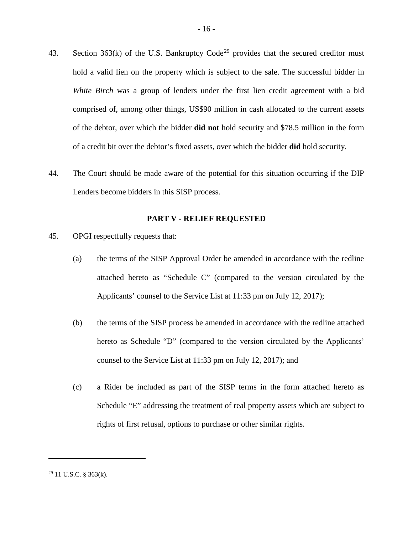- 43. Section  $363(k)$  of the U.S. Bankruptcy Code<sup>[29](#page-16-0)</sup> provides that the secured creditor must hold a valid lien on the property which is subject to the sale. The successful bidder in *White Birch* was a group of lenders under the first lien credit agreement with a bid comprised of, among other things, US\$90 million in cash allocated to the current assets of the debtor, over which the bidder **did not** hold security and \$78.5 million in the form of a credit bit over the debtor's fixed assets, over which the bidder **did** hold security.
- 44. The Court should be made aware of the potential for this situation occurring if the DIP Lenders become bidders in this SISP process.

#### **PART V - RELIEF REQUESTED**

- 45. OPGI respectfully requests that:
	- (a) the terms of the SISP Approval Order be amended in accordance with the redline attached hereto as "Schedule C" (compared to the version circulated by the Applicants' counsel to the Service List at 11:33 pm on July 12, 2017);
	- (b) the terms of the SISP process be amended in accordance with the redline attached hereto as Schedule "D" (compared to the version circulated by the Applicants' counsel to the Service List at 11:33 pm on July 12, 2017); and
	- (c) a Rider be included as part of the SISP terms in the form attached hereto as Schedule "E" addressing the treatment of real property assets which are subject to rights of first refusal, options to purchase or other similar rights.

<span id="page-16-0"></span> $29$  11 U.S.C. § 363(k).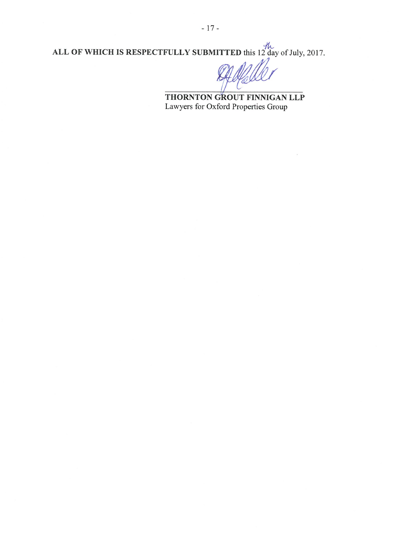ALL OF WHICH IS RESPECTFULLY SUBMITTED this 12 day of July, 2017.

THORNTON GROUT FINNIGAN LLP Lawyers for Oxford Properties Group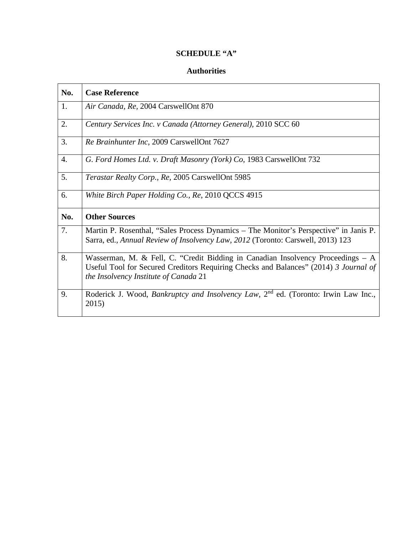# **SCHEDULE "A"**

## **Authorities**

| No. | <b>Case Reference</b>                                                                                                                                                                                              |
|-----|--------------------------------------------------------------------------------------------------------------------------------------------------------------------------------------------------------------------|
| 1.  | Air Canada, Re, 2004 CarswellOnt 870                                                                                                                                                                               |
| 2.  | Century Services Inc. v Canada (Attorney General), 2010 SCC 60                                                                                                                                                     |
| 3.  | Re Brainhunter Inc, 2009 CarswellOnt 7627                                                                                                                                                                          |
| 4.  | G. Ford Homes Ltd. v. Draft Masonry (York) Co, 1983 CarswellOnt 732                                                                                                                                                |
| 5.  | Terastar Realty Corp., Re, 2005 CarswellOnt 5985                                                                                                                                                                   |
| 6.  | White Birch Paper Holding Co., Re, 2010 QCCS 4915                                                                                                                                                                  |
| No. | <b>Other Sources</b>                                                                                                                                                                                               |
| 7.  | Martin P. Rosenthal, "Sales Process Dynamics – The Monitor's Perspective" in Janis P.<br>Sarra, ed., Annual Review of Insolvency Law, 2012 (Toronto: Carswell, 2013) 123                                           |
| 8.  | Wasserman, M. & Fell, C. "Credit Bidding in Canadian Insolvency Proceedings $-$ A<br>Useful Tool for Secured Creditors Requiring Checks and Balances" (2014) 3 Journal of<br>the Insolvency Institute of Canada 21 |
| 9.  | Roderick J. Wood, <i>Bankruptcy and Insolvency Law</i> , 2 <sup>nd</sup> ed. (Toronto: Irwin Law Inc.,<br>2015)                                                                                                    |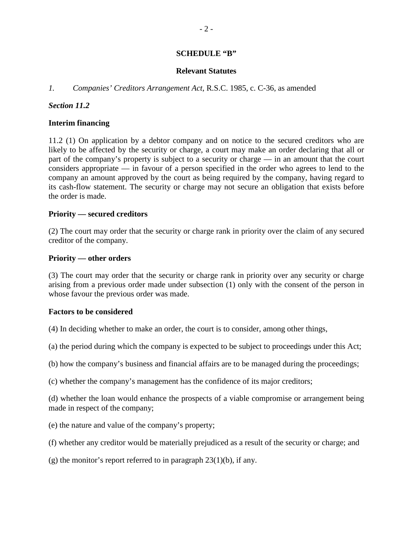## **SCHEDULE "B"**

## **Relevant Statutes**

## *1. Companies' Creditors Arrangement Act*, R.S.C. 1985, c. C-36, as amended

## *Section 11.2*

## **Interim financing**

11.2 (1) On application by a debtor company and on notice to the secured creditors who are likely to be affected by the security or charge, a court may make an order declaring that all or part of the company's property is subject to a security or charge — in an amount that the court considers appropriate — in favour of a person specified in the order who agrees to lend to the company an amount approved by the court as being required by the company, having regard to its cash-flow statement. The security or charge may not secure an obligation that exists before the order is made.

## **Priority — secured creditors**

(2) The court may order that the security or charge rank in priority over the claim of any secured creditor of the company.

## **Priority — other orders**

(3) The court may order that the security or charge rank in priority over any security or charge arising from a previous order made under subsection (1) only with the consent of the person in whose favour the previous order was made.

## **Factors to be considered**

- (4) In deciding whether to make an order, the court is to consider, among other things,
- (a) the period during which the company is expected to be subject to proceedings under this Act;
- (b) how the company's business and financial affairs are to be managed during the proceedings;
- (c) whether the company's management has the confidence of its major creditors;

(d) whether the loan would enhance the prospects of a viable compromise or arrangement being made in respect of the company;

- (e) the nature and value of the company's property;
- (f) whether any creditor would be materially prejudiced as a result of the security or charge; and
- (g) the monitor's report referred to in paragraph  $23(1)(b)$ , if any.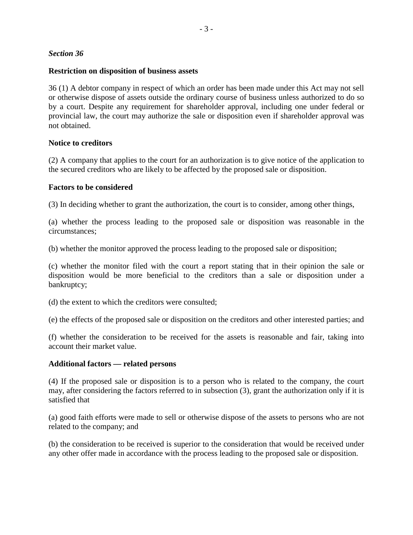## *Section 36*

# **Restriction on disposition of business assets**

36 (1) A debtor company in respect of which an order has been made under this Act may not sell or otherwise dispose of assets outside the ordinary course of business unless authorized to do so by a court. Despite any requirement for shareholder approval, including one under federal or provincial law, the court may authorize the sale or disposition even if shareholder approval was not obtained.

# **Notice to creditors**

(2) A company that applies to the court for an authorization is to give notice of the application to the secured creditors who are likely to be affected by the proposed sale or disposition.

# **Factors to be considered**

(3) In deciding whether to grant the authorization, the court is to consider, among other things,

(a) whether the process leading to the proposed sale or disposition was reasonable in the circumstances;

(b) whether the monitor approved the process leading to the proposed sale or disposition;

(c) whether the monitor filed with the court a report stating that in their opinion the sale or disposition would be more beneficial to the creditors than a sale or disposition under a bankruptcy;

(d) the extent to which the creditors were consulted;

(e) the effects of the proposed sale or disposition on the creditors and other interested parties; and

(f) whether the consideration to be received for the assets is reasonable and fair, taking into account their market value.

# **Additional factors — related persons**

(4) If the proposed sale or disposition is to a person who is related to the company, the court may, after considering the factors referred to in subsection (3), grant the authorization only if it is satisfied that

(a) good faith efforts were made to sell or otherwise dispose of the assets to persons who are not related to the company; and

(b) the consideration to be received is superior to the consideration that would be received under any other offer made in accordance with the process leading to the proposed sale or disposition.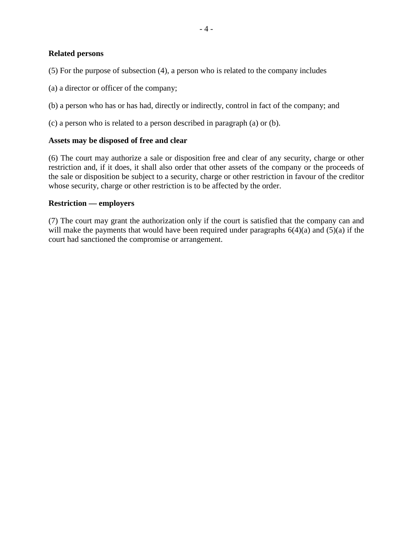## **Related persons**

(5) For the purpose of subsection (4), a person who is related to the company includes

(a) a director or officer of the company;

(b) a person who has or has had, directly or indirectly, control in fact of the company; and

(c) a person who is related to a person described in paragraph (a) or (b).

## **Assets may be disposed of free and clear**

(6) The court may authorize a sale or disposition free and clear of any security, charge or other restriction and, if it does, it shall also order that other assets of the company or the proceeds of the sale or disposition be subject to a security, charge or other restriction in favour of the creditor whose security, charge or other restriction is to be affected by the order.

## **Restriction — employers**

(7) The court may grant the authorization only if the court is satisfied that the company can and will make the payments that would have been required under paragraphs  $6(4)(a)$  and  $(5)(a)$  if the court had sanctioned the compromise or arrangement.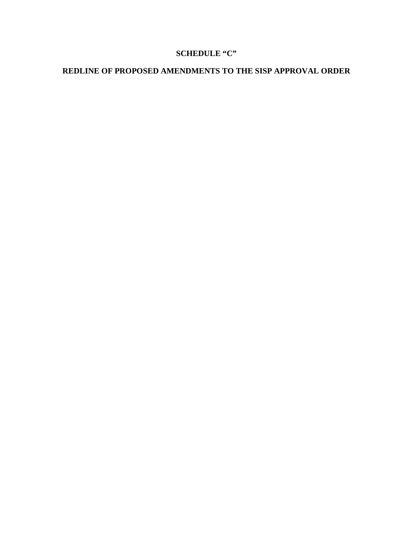# **SCHEDULE "C"**

# **REDLINE OF PROPOSED AMENDMENTS TO THE SISP APPROVAL ORDER**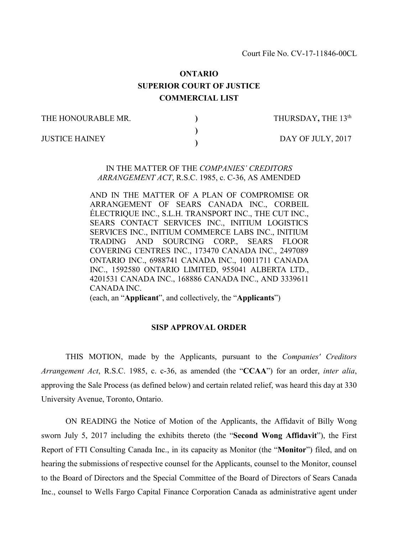Court File No. CV-17-11846-00CL

# **ONTARIO SUPERIOR COURT OF JUSTICE COMMERCIAL LIST**

**) ) )**

THE HONOURABLE MR. JUSTICE HAINEY

THURSDAY**,** THE 13th

DAY OF JULY, 2017

## IN THE MATTER OF THE *COMPANIES' CREDITORS ARRANGEMENT ACT*, R.S.C. 1985, c. C-36, AS AMENDED

AND IN THE MATTER OF A PLAN OF COMPROMISE OR ARRANGEMENT OF SEARS CANADA INC., CORBEIL ÉLECTRIQUE INC., S.L.H. TRANSPORT INC., THE CUT INC., SEARS CONTACT SERVICES INC., INITIUM LOGISTICS SERVICES INC., INITIUM COMMERCE LABS INC., INITIUM TRADING AND SOURCING CORP., SEARS FLOOR COVERING CENTRES INC., 173470 CANADA INC., 2497089 ONTARIO INC., 6988741 CANADA INC., 10011711 CANADA INC., 1592580 ONTARIO LIMITED, 955041 ALBERTA LTD., 4201531 CANADA INC., 168886 CANADA INC., AND 3339611 CANADA INC.

(each, an "**Applicant**", and collectively, the "**Applicants**")

#### **SISP APPROVAL ORDER**

THIS MOTION, made by the Applicants, pursuant to the *Companies' Creditors Arrangement Act*, R.S.C. 1985, c. c-36, as amended (the "**CCAA**") for an order, *inter alia*, approving the Sale Process (as defined below) and certain related relief, was heard this day at 330 University Avenue, Toronto, Ontario.

ON READING the Notice of Motion of the Applicants, the Affidavit of Billy Wong sworn July 5, 2017 including the exhibits thereto (the "**Second Wong Affidavit**"), the First Report of FTI Consulting Canada Inc., in its capacity as Monitor (the "**Monitor**") filed, and on hearing the submissions of respective counsel for the Applicants, counsel to the Monitor, counsel to the Board of Directors and the Special Committee of the Board of Directors of Sears Canada Inc., counsel to Wells Fargo Capital Finance Corporation Canada as administrative agent under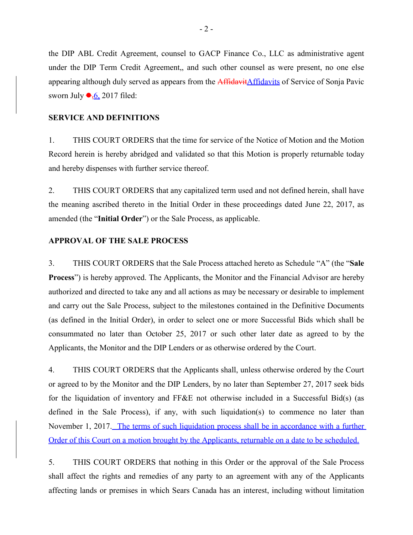the DIP ABL Credit Agreement, counsel to GACP Finance Co., LLC as administrative agent under the DIP Term Credit Agreement,, and such other counsel as were present, no one else appearing although duly served as appears from the **Affidavit**Affidavits of Service of Sonja Pavic sworn July  $\bullet$ <sub>5</sub>6, 2017 filed:

#### **SERVICE AND DEFINITIONS**

1. THIS COURT ORDERS that the time for service of the Notice of Motion and the Motion Record herein is hereby abridged and validated so that this Motion is properly returnable today and hereby dispenses with further service thereof.

2. THIS COURT ORDERS that any capitalized term used and not defined herein, shall have the meaning ascribed thereto in the Initial Order in these proceedings dated June 22, 2017, as amended (the "**Initial Order**") or the Sale Process, as applicable.

## **APPROVAL OF THE SALE PROCESS**

3. THIS COURT ORDERS that the Sale Process attached hereto as Schedule "A" (the "**Sale Process**") is hereby approved. The Applicants, the Monitor and the Financial Advisor are hereby authorized and directed to take any and all actions as may be necessary or desirable to implement and carry out the Sale Process, subject to the milestones contained in the Definitive Documents (as defined in the Initial Order), in order to select one or more Successful Bids which shall be consummated no later than October 25, 2017 or such other later date as agreed to by the Applicants, the Monitor and the DIP Lenders or as otherwise ordered by the Court.

4. THIS COURT ORDERS that the Applicants shall, unless otherwise ordered by the Court or agreed to by the Monitor and the DIP Lenders, by no later than September 27, 2017 seek bids for the liquidation of inventory and FF&E not otherwise included in a Successful Bid(s) (as defined in the Sale Process), if any, with such liquidation(s) to commence no later than November 1, 2017. The terms of such liquidation process shall be in accordance with a further Order of this Court on a motion brought by the Applicants, returnable on a date to be scheduled.

5. THIS COURT ORDERS that nothing in this Order or the approval of the Sale Process shall affect the rights and remedies of any party to an agreement with any of the Applicants affecting lands or premises in which Sears Canada has an interest, including without limitation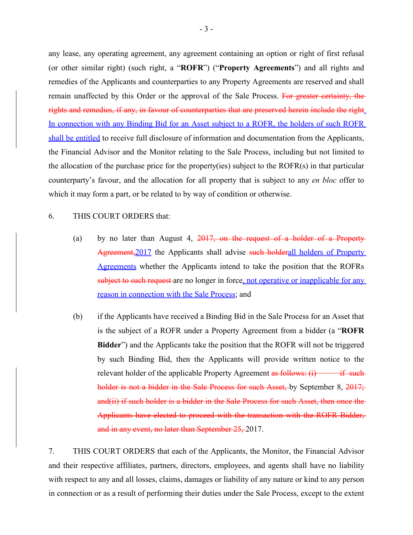any lease, any operating agreement, any agreement containing an option or right of first refusal (or other similar right) (such right, a "**ROFR**") ("**Property Agreements**") and all rights and remedies of the Applicants and counterparties to any Property Agreements are reserved and shall remain unaffected by this Order or the approval of the Sale Process. For greater certainty, the rights and remedies, if any, in favour of counterparties that are preserved herein include the right In connection with any Binding Bid for an Asset subject to a ROFR, the holders of such ROFR shall be entitled to receive full disclosure of information and documentation from the Applicants, the Financial Advisor and the Monitor relating to the Sale Process, including but not limited to the allocation of the purchase price for the property(ies) subject to the ROFR(s) in that particular counterparty's favour, and the allocation for all property that is subject to any *en bloc* offer to which it may form a part, or be related to by way of condition or otherwise.

## 6. THIS COURT ORDERS that:

- (a) by no later than August 4,  $2017$ , on the request of a holder of a Property Agreement, 2017 the Applicants shall advise such holderall holders of Property Agreements whether the Applicants intend to take the position that the ROFRs subject to such request are no longer in force, not operative or inapplicable for any reason in connection with the Sale Process; and
- (b) if the Applicants have received a Binding Bid in the Sale Process for an Asset that is the subject of a ROFR under a Property Agreement from a bidder (a "**ROFR Bidder**") and the Applicants take the position that the ROFR will not be triggered by such Binding Bid, then the Applicants will provide written notice to the relevant holder of the applicable Property Agreement as follows:  $(i)$  if such holder is not a bidder in the Sale Process for such Asset, by September 8, 2017; and(ii) if such holder is a bidder in the Sale Process for such Asset, then once the Applicants have elected to proceed with the transaction with the ROFR Bidder, and in any event, no later than September 25, 2017.

7. THIS COURT ORDERS that each of the Applicants, the Monitor, the Financial Advisor and their respective affiliates, partners, directors, employees, and agents shall have no liability with respect to any and all losses, claims, damages or liability of any nature or kind to any person in connection or as a result of performing their duties under the Sale Process, except to the extent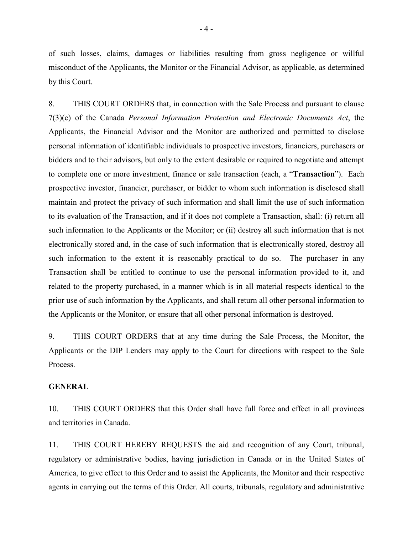of such losses, claims, damages or liabilities resulting from gross negligence or willful misconduct of the Applicants, the Monitor or the Financial Advisor, as applicable, as determined by this Court.

8. THIS COURT ORDERS that, in connection with the Sale Process and pursuant to clause 7(3)(c) of the Canada *Personal Information Protection and Electronic Documents Act*, the Applicants, the Financial Advisor and the Monitor are authorized and permitted to disclose personal information of identifiable individuals to prospective investors, financiers, purchasers or bidders and to their advisors, but only to the extent desirable or required to negotiate and attempt to complete one or more investment, finance or sale transaction (each, a "**Transaction**"). Each prospective investor, financier, purchaser, or bidder to whom such information is disclosed shall maintain and protect the privacy of such information and shall limit the use of such information to its evaluation of the Transaction, and if it does not complete a Transaction, shall: (i) return all such information to the Applicants or the Monitor; or (ii) destroy all such information that is not electronically stored and, in the case of such information that is electronically stored, destroy all such information to the extent it is reasonably practical to do so. The purchaser in any Transaction shall be entitled to continue to use the personal information provided to it, and related to the property purchased, in a manner which is in all material respects identical to the prior use of such information by the Applicants, and shall return all other personal information to the Applicants or the Monitor, or ensure that all other personal information is destroyed.

9. THIS COURT ORDERS that at any time during the Sale Process, the Monitor, the Applicants or the DIP Lenders may apply to the Court for directions with respect to the Sale Process.

## **GENERAL**

10. THIS COURT ORDERS that this Order shall have full force and effect in all provinces and territories in Canada.

11. THIS COURT HEREBY REQUESTS the aid and recognition of any Court, tribunal, regulatory or administrative bodies, having jurisdiction in Canada or in the United States of America, to give effect to this Order and to assist the Applicants, the Monitor and their respective agents in carrying out the terms of this Order. All courts, tribunals, regulatory and administrative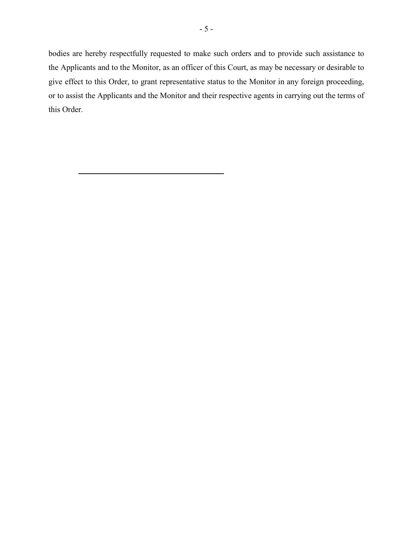bodies are hereby respectfully requested to make such orders and to provide such assistance to the Applicants and to the Monitor, as an officer of this Court, as may be necessary or desirable to give effect to this Order, to grant representative status to the Monitor in any foreign proceeding, or to assist the Applicants and the Monitor and their respective agents in carrying out the terms of this Order.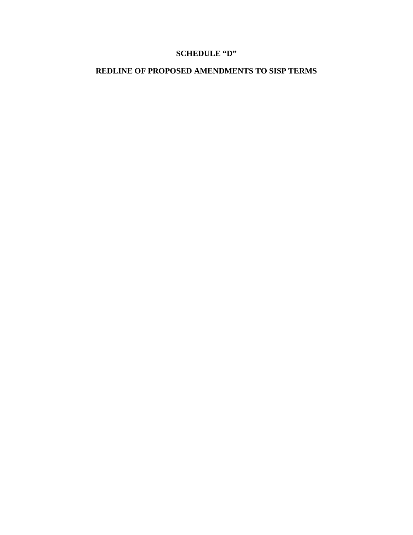# **SCHEDULE "D"**

# **REDLINE OF PROPOSED AMENDMENTS TO SISP TERMS**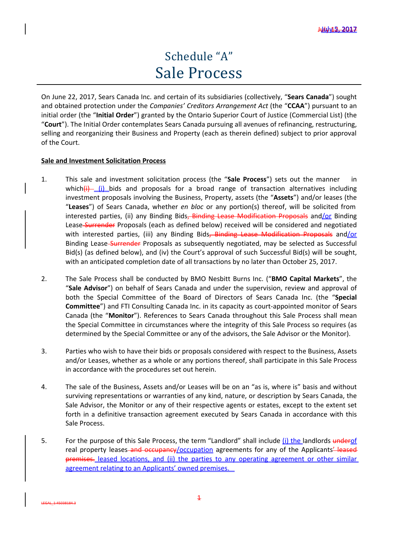# Schedule "A" Sale Process

On June 22, 2017, Sears Canada Inc. and certain of its subsidiaries (collectively, "**Sears Canada**") sought and obtained protection under the *Companies' Creditors Arrangement Act* (the "**CCAA**") pursuant to an initial order (the "**Initial Order**") granted by the Ontario Superior Court of Justice (Commercial List) (the "**Court**"). The Initial Order contemplates Sears Canada pursuing all avenues of refinancing, restructuring, selling and reorganizing their Business and Property (each as therein defined) subject to prior approval of the Court.

## **Sale and Investment Solicitation Process**

- 1. This sale and investment solicitation process (the "**Sale Process**") sets out the manner in which $(i)$  (i) bids and proposals for a broad range of transaction alternatives including investment proposals involving the Business, Property, assets (the "**Assets**") and/or leases (the "**Leases**") of Sears Canada, whether *en bloc* or any portion(s) thereof, will be solicited from interested parties, (ii) any Binding Bids, Binding Lease Modification Proposals and/or Binding Lease-Surrender Proposals (each as defined below) received will be considered and negotiated with interested parties, (iii) any Binding Bids, Binding Lease Modification Proposals and/or Binding Lease-Surrender Proposals as subsequently negotiated, may be selected as Successful Bid(s) (as defined below), and (iv) the Court's approval of such Successful Bid(s) will be sought, with an anticipated completion date of all transactions by no later than October 25, 2017.
- 2. The Sale Process shall be conducted by BMO Nesbitt Burns Inc. ("**BMO Capital Markets**", the "**Sale Advisor**") on behalf of Sears Canada and under the supervision, review and approval of both the Special Committee of the Board of Directors of Sears Canada Inc. (the "**Special Committee**") and FTI Consulting Canada Inc. in its capacity as court-appointed monitor of Sears Canada (the "**Monitor**"). References to Sears Canada throughout this Sale Process shall mean the Special Committee in circumstances where the integrity of this Sale Process so requires (as determined by the Special Committee or any of the advisors, the Sale Advisor or the Monitor).
- 3. Parties who wish to have their bids or proposals considered with respect to the Business, Assets and/or Leases, whether as a whole or any portions thereof, shall participate in this Sale Process in accordance with the procedures set out herein.
- 4. The sale of the Business, Assets and/or Leases will be on an "as is, where is" basis and without surviving representations or warranties of any kind, nature, or description by Sears Canada, the Sale Advisor, the Monitor or any of their respective agents or estates, except to the extent set forth in a definitive transaction agreement executed by Sears Canada in accordance with this Sale Process.
- 5. For the purpose of this Sale Process, the term "Landlord" shall include  $(i)$  the landlords underof real property leases and occupancy/occupation agreements for any of the Applicants' leased premises. leased locations, and (ii) the parties to any operating agreement or other similar agreement relating to an Applicants' owned premises.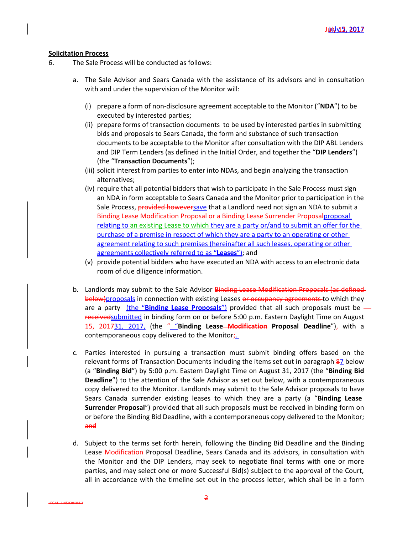#### **Solicitation Process**

- 6. The Sale Process will be conducted as follows:
	- a. The Sale Advisor and Sears Canada with the assistance of its advisors and in consultation with and under the supervision of the Monitor will:
		- (i) prepare a form of non-disclosure agreement acceptable to the Monitor ("**NDA**") to be executed by interested parties;
		- (ii) prepare forms of transaction documents to be used by interested parties in submitting bids and proposals to Sears Canada, the form and substance of such transaction documents to be acceptable to the Monitor after consultation with the DIP ABL Lenders and DIP Term Lenders (as defined in the Initial Order, and together the "**DIP Lenders**") (the "**Transaction Documents**");
		- (iii) solicit interest from parties to enter into NDAs, and begin analyzing the transaction alternatives;
		- (iv) require that all potential bidders that wish to participate in the Sale Process must sign an NDA in form acceptable to Sears Canada and the Monitor prior to participation in the Sale Process, provided howeversave that a Landlord need not sign an NDA to submit a Binding Lease Modification Proposal or a Binding Lease Surrender Proposalproposal relating to an existing Lease to which they are a party or/and to submit an offer for the purchase of a premise in respect of which they are a party to an operating or other agreement relating to such premises (hereinafter all such leases, operating or other agreements collectively referred to as "**Leases**"); and
		- (v) provide potential bidders who have executed an NDA with access to an electronic data room of due diligence information.
	- b. Landlords may submit to the Sale Advisor Binding Lease Modification Proposals (as definedbelow)proposals in connection with existing Leases or occupancy agreements to which they are a party (the "**Binding Lease Proposals**") provided that all such proposals must be receivedsubmitted in binding form on or before 5:00 p.m. Eastern Daylight Time on August 15, 201731, 2017, (the—" "Binding Lease<del>-Modification</del> Proposal Deadline")<sub>7</sub> with a contemporaneous copy delivered to the Monitor;
	- c. Parties interested in pursuing a transaction must submit binding offers based on the relevant forms of Transaction Documents including the items set out in paragraph 87 below (a "**Binding Bid**") by 5:00 p.m. Eastern Daylight Time on August 31, 2017 (the "**Binding Bid Deadline**") to the attention of the Sale Advisor as set out below, with a contemporaneous copy delivered to the Monitor. Landlords may submit to the Sale Advisor proposals to have Sears Canada surrender existing leases to which they are a party (a "**Binding Lease Surrender Proposal**") provided that all such proposals must be received in binding form on or before the Binding Bid Deadline, with a contemporaneous copy delivered to the Monitor; and
	- d. Subject to the terms set forth herein, following the Binding Bid Deadline and the Binding Lease Modification Proposal Deadline, Sears Canada and its advisors, in consultation with the Monitor and the DIP Lenders, may seek to negotiate final terms with one or more parties, and may select one or more Successful Bid(s) subject to the approval of the Court, all in accordance with the timeline set out in the process letter, which shall be in a form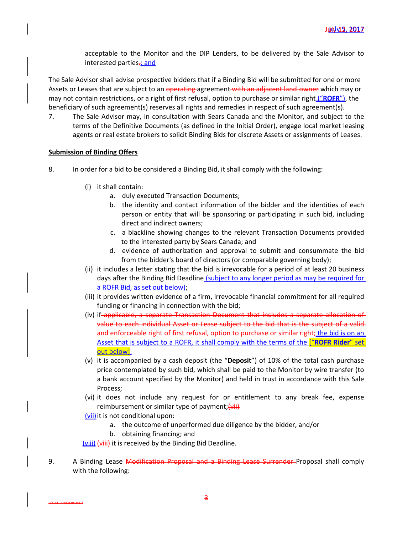acceptable to the Monitor and the DIP Lenders, to be delivered by the Sale Advisor to interested parties-; and

The Sale Advisor shall advise prospective bidders that if a Binding Bid will be submitted for one or more Assets or Leases that are subject to an operating agreement with an adjacent land owner which may or may not contain restrictions, or a right of first refusal, option to purchase or similar right ("**ROFR**"), the beneficiary of such agreement(s) reserves all rights and remedies in respect of such agreement(s).

7. The Sale Advisor may, in consultation with Sears Canada and the Monitor, and subject to the terms of the Definitive Documents (as defined in the Initial Order), engage local market leasing agents or real estate brokers to solicit Binding Bids for discrete Assets or assignments of Leases.

#### **Submission of Binding Offers**

- 8. In order for a bid to be considered a Binding Bid, it shall comply with the following:
	- (i) it shall contain:
		- a. duly executed Transaction Documents;
		- b. the identity and contact information of the bidder and the identities of each person or entity that will be sponsoring or participating in such bid, including direct and indirect owners;
		- c. a blackline showing changes to the relevant Transaction Documents provided to the interested party by Sears Canada; and
		- d. evidence of authorization and approval to submit and consummate the bid from the bidder's board of directors (or comparable governing body);
	- (ii) it includes a letter stating that the bid is irrevocable for a period of at least 20 business days after the Binding Bid Deadline (subject to any longer period as may be required for a ROFR Bid, as set out below);
	- (iii) it provides written evidence of a firm, irrevocable financial commitment for all required funding or financing in connection with the bid;
	- (iv) if applicable, a separate Transaction Document that includes a separate allocation of value to each individual Asset or Lease subject to the bid that is the subject of a valid and enforceable right of first refusal, option to purchase or similar right; the bid is on an Asset that is subject to a ROFR, it shall comply with the terms of the ["**ROFR Rider**" set out below];
	- (v) it is accompanied by a cash deposit (the "**Deposit**") of 10% of the total cash purchase price contemplated by such bid, which shall be paid to the Monitor by wire transfer (to a bank account specified by the Monitor) and held in trust in accordance with this Sale Process;
	- (vi) it does not include any request for or entitlement to any break fee, expense reimbursement or similar type of payment;  $\overline{\left\langle \mathsf{vii} \right\rangle}$
	- (vii) it is not conditional upon:

LEGAL\_1:45038184.3

- a. the outcome of unperformed due diligence by the bidder, and/or
- b. obtaining financing; and

(viii) (viii) it is received by the Binding Bid Deadline.

9. A Binding Lease Modification Proposal and a Binding Lease Surrender Proposal shall comply with the following:

3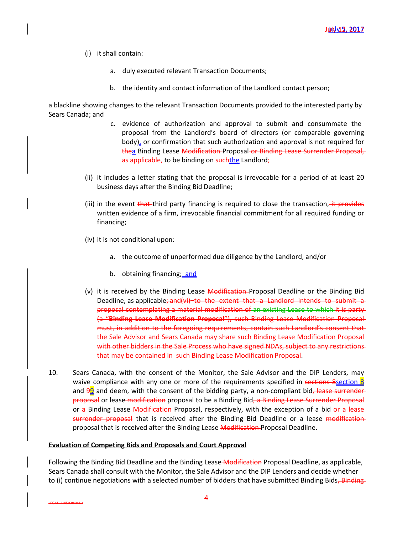- (i) it shall contain:
	- a. duly executed relevant Transaction Documents;
	- b. the identity and contact information of the Landlord contact person;

a blackline showing changes to the relevant Transaction Documents provided to the interested party by Sears Canada; and

- c. evidence of authorization and approval to submit and consummate the proposal from the Landlord's board of directors (or comparable governing body), or confirmation that such authorization and approval is not required for thea Binding Lease Modification Proposal or Binding Lease Surrender Proposal, as applicable, to be binding on suchthe Landlord;
- (ii) it includes a letter stating that the proposal is irrevocable for a period of at least 20 business days after the Binding Bid Deadline;
- (iii) in the event that third party financing is required to close the transaction, it provides written evidence of a firm, irrevocable financial commitment for all required funding or financing;
- (iv) it is not conditional upon:
	- a. the outcome of unperformed due diligence by the Landlord, and/or
	- b. obtaining financing; and
- (v) it is received by the Binding Lease Modification-Proposal Deadline or the Binding Bid Deadline, as applicable; and (vi) to the extent that a Landlord intends to submit a proposal contemplating a material modification of an existing Lease to which it is party (a "**Binding Lease Modification Proposal**"), such Binding Lease Modification Proposal must, in addition to the foregoing requirements, contain such Landlord's consent that the Sale Advisor and Sears Canada may share such Binding Lease Modification Proposal with other bidders in the Sale Process who have signed NDAs, subject to any restrictions that may be contained in such Binding Lease Modification Proposal.
- 10. Sears Canada, with the consent of the Monitor, the Sale Advisor and the DIP Lenders, may waive compliance with any one or more of the requirements specified in sections 8section 8 and  $99$  and deem, with the consent of the bidding party, a non-compliant bid, lease surrenderproposal or lease modification proposal to be a Binding Bid, a Binding Lease Surrender Proposal or a Binding Lease Modification Proposal, respectively, with the exception of a bid or a lease surrender proposal that is received after the Binding Bid Deadline or a lease modification proposal that is received after the Binding Lease Modification Proposal Deadline.

#### **Evaluation of Competing Bids and Proposals and Court Approval**

Following the Binding Bid Deadline and the Binding Lease-Modification Proposal Deadline, as applicable, Sears Canada shall consult with the Monitor, the Sale Advisor and the DIP Lenders and decide whether to (i) continue negotiations with a selected number of bidders that have submitted Binding Bids, Binding

LEGAL\_1:45038184.3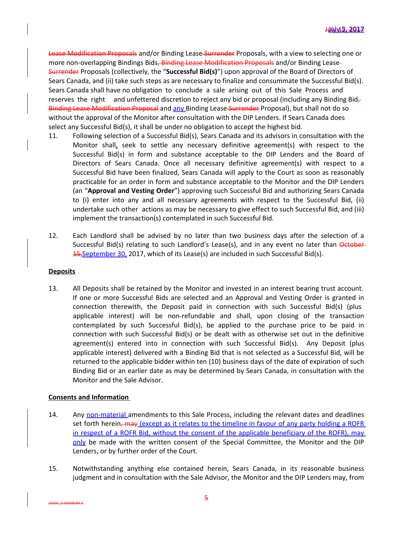Lease Modification Proposals and/or Binding Lease Surrender Proposals, with a view to selecting one or more non-overlapping Bindings Bids, Binding Lease Modification Proposals and/or Binding Lease-Surrender Proposals (collectively, the "**Successful Bid(s)**") upon approval of the Board of Directors of Sears Canada, and (ii) take such steps as are necessary to finalize and consummate the Successful Bid(s). Sears Canada shall have no obligation to conclude a sale arising out of this Sale Process and reserves the right and unfettered discretion to reject any bid or proposal (including any Binding Bid $_{\tau}$ ) Binding Lease Modification Proposal and any Binding Lease Surrender Proposal), but shall not do so without the approval of the Monitor after consultation with the DIP Lenders. If Sears Canada does select any Successful Bid(s), it shall be under no obligation to accept the highest bid.

- 11. Following selection of a Successful Bid(s), Sears Canada and its advisors in consultation with the Monitor shall, seek to settle any necessary definitive agreement(s) with respect to the Successful Bid(s) in form and substance acceptable to the DIP Lenders and the Board of Directors of Sears Canada. Once all necessary definitive agreement(s) with respect to a Successful Bid have been finalized, Sears Canada will apply to the Court as soon as reasonably practicable for an order in form and substance acceptable to the Monitor and the DIP Lenders (an "**Approval and Vesting Order**") approving such Successful Bid and authorizing Sears Canada to (i) enter into any and all necessary agreements with respect to the Successful Bid, (ii) undertake such other actions as may be necessary to give effect to such Successful Bid, and (iii) implement the transaction(s) contemplated in such Successful Bid.
- 12. Each Landlord shall be advised by no later than two business days after the selection of a Successful Bid(s) relating to such Landlord's Lease(s), and in any event no later than October-15, September 30, 2017, which of its Lease(s) are included in such Successful Bid(s).

#### **Deposits**

13. All Deposits shall be retained by the Monitor and invested in an interest bearing trust account. If one or more Successful Bids are selected and an Approval and Vesting Order is granted in connection therewith, the Deposit paid in connection with such Successful Bid(s) (plus applicable interest) will be non-refundable and shall, upon closing of the transaction contemplated by such Successful Bid(s), be applied to the purchase price to be paid in connection with such Successful Bid(s) or be dealt with as otherwise set out in the definitive agreement(s) entered into in connection with such Successful Bid(s). Any Deposit (plus applicable interest) delivered with a Binding Bid that is not selected as a Successful Bid, will be returned to the applicable bidder within ten (10) business days of the date of expiration of such Binding Bid or an earlier date as may be determined by Sears Canada, in consultation with the Monitor and the Sale Advisor.

## **Consents and Information**

LEGAL\_1:45038184.3

- 14. Any non-material amendments to this Sale Process, including the relevant dates and deadlines set forth herein, may (except as it relates to the timeline in favour of any party holding a ROFR in respect of a ROFR Bid, without the consent of the applicable beneficiary of the ROFR), may only be made with the written consent of the Special Committee, the Monitor and the DIP Lenders, or by further order of the Court.
- 15. Notwithstanding anything else contained herein, Sears Canada, in its reasonable business judgment and in consultation with the Sale Advisor, the Monitor and the DIP Lenders may, from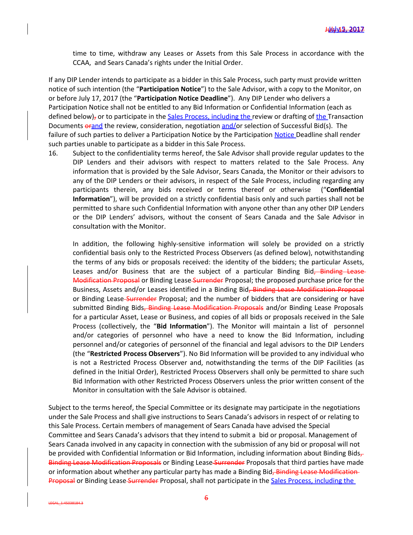time to time, withdraw any Leases or Assets from this Sale Process in accordance with the CCAA, and Sears Canada's rights under the Initial Order.

If any DIP Lender intends to participate as a bidder in this Sale Process, such party must provide written notice of such intention (the "**Participation Notice**") to the Sale Advisor, with a copy to the Monitor, on or before July 17, 2017 (the "**Participation Notice Deadline**"). Any DIP Lender who delivers a Participation Notice shall not be entitled to any Bid Information or Confidential Information (each as defined below)<sub>7</sub> or to participate in the Sales Process, including the review or drafting of the Transaction Documents orand the review, consideration, negotiation and/or selection of Successful Bid(s). The failure of such parties to deliver a Participation Notice by the Participation Notice Deadline shall render such parties unable to participate as a bidder in this Sale Process.

16. Subject to the confidentiality terms hereof, the Sale Advisor shall provide regular updates to the DIP Lenders and their advisors with respect to matters related to the Sale Process. Any information that is provided by the Sale Advisor, Sears Canada, the Monitor or their advisors to any of the DIP Lenders or their advisors, in respect of the Sale Process, including regarding any participants therein, any bids received or terms thereof or otherwise ("**Confidential Information**"), will be provided on a strictly confidential basis only and such parties shall not be permitted to share such Confidential Information with anyone other than any other DIP Lenders or the DIP Lenders' advisors, without the consent of Sears Canada and the Sale Advisor in consultation with the Monitor.

In addition, the following highly-sensitive information will solely be provided on a strictly confidential basis only to the Restricted Process Observers (as defined below), notwithstanding the terms of any bids or proposals received: the identity of the bidders; the particular Assets, Leases and/or Business that are the subject of a particular Binding Bid, Binding Lease Modification Proposal or Binding Lease Surrender Proposal; the proposed purchase price for the Business, Assets and/or Leases identified in a Binding Bid, Binding Lease Modification Proposal or Binding Lease-Surrender Proposal; and the number of bidders that are considering or have submitted Binding Bids, Binding Lease Modification Proposals and/or Binding Lease Proposals for a particular Asset, Lease or Business, and copies of all bids or proposals received in the Sale Process (collectively, the "**Bid Information**"). The Monitor will maintain a list of personnel and/or categories of personnel who have a need to know the Bid Information, including personnel and/or categories of personnel of the financial and legal advisors to the DIP Lenders (the "**Restricted Process Observers**"). No Bid Information will be provided to any individual who is not a Restricted Process Observer and, notwithstanding the terms of the DIP Facilities (as defined in the Initial Order), Restricted Process Observers shall only be permitted to share such Bid Information with other Restricted Process Observers unless the prior written consent of the Monitor in consultation with the Sale Advisor is obtained.

Subject to the terms hereof, the Special Committee or its designate may participate in the negotiations under the Sale Process and shall give instructions to Sears Canada's advisors in respect of or relating to this Sale Process. Certain members of management of Sears Canada have advised the Special Committee and Sears Canada's advisors that they intend to submit a bid or proposal. Management of Sears Canada involved in any capacity in connection with the submission of any bid or proposal will not be provided with Confidential Information or Bid Information, including information about Binding Bids,-Binding Lease Modification Proposals or Binding Lease Surrender Proposals that third parties have made or information about whether any particular party has made a Binding Bid, Binding Lease Modification Proposal or Binding Lease-Surrender Proposal, shall not participate in the Sales Process, including the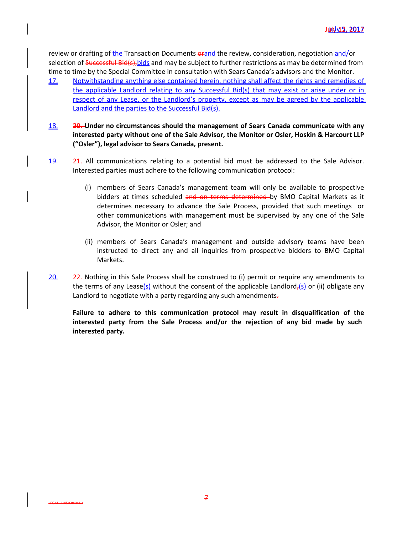review or drafting of the Transaction Documents orand the review, consideration, negotiation and/or selection of Successful Bid(s), bids and may be subject to further restrictions as may be determined from time to time by the Special Committee in consultation with Sears Canada's advisors and the Monitor.

- 17. Notwithstanding anything else contained herein, nothing shall affect the rights and remedies of the applicable Landlord relating to any Successful Bid(s) that may exist or arise under or in respect of any Lease, or the Landlord's property, except as may be agreed by the applicable Landlord and the parties to the Successful Bid(s).
- 18. **20. Under no circumstances should the management of Sears Canada communicate with any interested party without one of the Sale Advisor, the Monitor or Osler, Hoskin & Harcourt LLP ("Osler"), legal advisor to Sears Canada, present.**
- 19. 21. All communications relating to a potential bid must be addressed to the Sale Advisor. Interested parties must adhere to the following communication protocol:
	- (i) members of Sears Canada's management team will only be available to prospective bidders at times scheduled and on terms determined by BMO Capital Markets as it determines necessary to advance the Sale Process, provided that such meetings or other communications with management must be supervised by any one of the Sale Advisor, the Monitor or Osler; and
	- (ii) members of Sears Canada's management and outside advisory teams have been instructed to direct any and all inquiries from prospective bidders to BMO Capital Markets.
- 20. 22. Nothing in this Sale Process shall be construed to (i) permit or require any amendments to the terms of any Lease(s) without the consent of the applicable Landlord,(s) or (ii) obligate any Landlord to negotiate with a party regarding any such amendments-

**Failure to adhere to this communication protocol may result in disqualification of the interested party from the Sale Process and/or the rejection of any bid made by such interested party.**

LEGAL\_1:45038184.3

7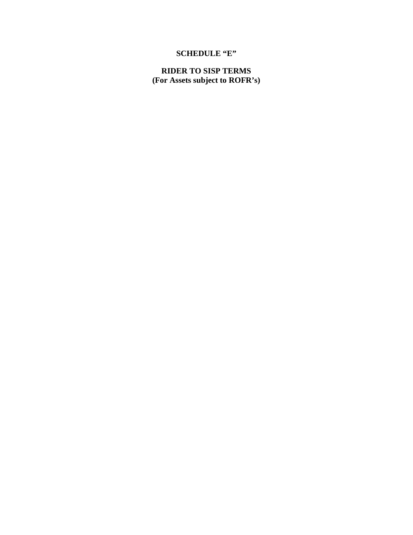# **SCHEDULE "E"**

**RIDER TO SISP TERMS (For Assets subject to ROFR's)**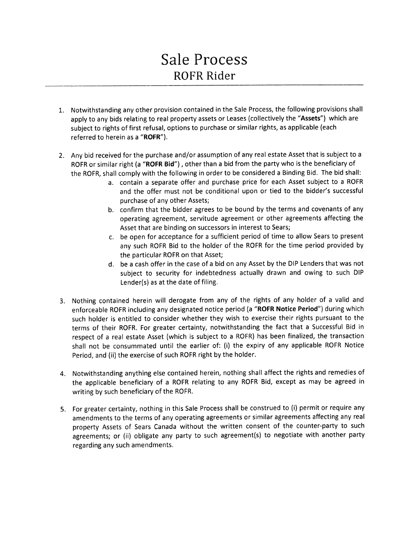# **Sale Process** ROFR Rider

- 1. Notwithstanding any other provision contained in the Sale Process, the following provisions shall apply to any bids relating to real property assets or Leases (collectively the "Assets") which are subject to rights of first refusal, options to purchase or similar rights, as applicable (each referred to herein as a "ROFR").
- 2. Any bid received for the purchase and/or assumption of any real estate Asset that is subject to a ROFR or similar right (a "ROFR Bid"), other than a bid from the party who is the beneficiary of the ROFR, shall comply with the following in order to be considered a Binding Bid. The bid shall:
	- a. contain a separate offer and purchase price for each Asset subject to a ROFR and the offer must not be conditional upon or tied to the bidder's successful purchase of any other Assets;
	- b. confirm that the bidder agrees to be bound by the terms and covenants of any operating agreement, servitude agreement or other agreements affecting the Asset that are binding on successors in interest to Sears;
	- c. be open for acceptance for a sufficient period of time to allow Sears to present any such ROFR Bid to the holder of the ROFR for the time period provided by the particular ROFR on that Asset;
	- d. be a cash offer in the case of a bid on any Asset by the DIP Lenders that was not subject to security for indebtedness actually drawn and owing to such DIP Lender(s) as at the date of filing.
- 3. Nothing contained herein will derogate from any of the rights of any holder of a valid and enforceable ROFR including any designated notice period (a "ROFR Notice Period") during which such holder is entitled to consider whether they wish to exercise their rights pursuant to the terms of their ROFR. For greater certainty, notwithstanding the fact that a Successful Bid in respect of a real estate Asset (which is subject to a ROFR) has been finalized, the transaction shall not be consummated until the earlier of: (i) the expiry of any applicable ROFR Notice Period, and (ii) the exercise of such ROFR right by the holder.
- 4. Notwithstanding anything else contained herein, nothing shall affect the rights and remedies of the applicable beneficiary of a ROFR relating to any ROFR Bid, except as may be agreed in writing by such beneficiary of the ROFR.
- 5. For greater certainty, nothing in this Sale Process shall be construed to (i) permit or require any amendments to the terms of any operating agreements or similar agreements affecting any real property Assets of Sears Canada without the written consent of the counter-party to such agreements; or (ii) obligate any party to such agreement(s) to negotiate with another party regarding any such amendments.